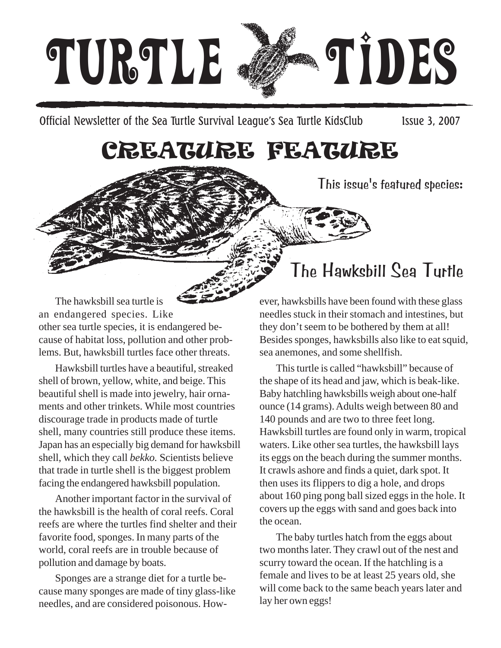

Official Newsletter of the Sea Turtle Survival League's Sea Turtle KidsClub Issue 3, 2007

## CREATURE FEATURE

This issue's featured species:

The hawksbill sea turtle is an endangered species. Like other sea turtle species, it is endangered because of habitat loss, pollution and other problems. But, hawksbill turtles face other threats.

Hawksbill turtles have a beautiful, streaked shell of brown, yellow, white, and beige. This beautiful shell is made into jewelry, hair ornaments and other trinkets. While most countries discourage trade in products made of turtle shell, many countries still produce these items. Japan has an especially big demand for hawksbill shell, which they call *bekko.* Scientists believe that trade in turtle shell is the biggest problem facing the endangered hawksbill population.

Another important factor in the survival of the hawksbill is the health of coral reefs. Coral reefs are where the turtles find shelter and their favorite food, sponges. In many parts of the world, coral reefs are in trouble because of pollution and damage by boats.

Sponges are a strange diet for a turtle because many sponges are made of tiny glass-like needles, and are considered poisonous. How-

## The Hawksbill Sea Turtle

ever, hawksbills have been found with these glass needles stuck in their stomach and intestines, but they don't seem to be bothered by them at all! Besides sponges, hawksbills also like to eat squid, sea anemones, and some shellfish.

This turtle is called "hawksbill" because of the shape of its head and jaw, which is beak-like. Baby hatchling hawksbills weigh about one-half ounce (14 grams). Adults weigh between 80 and 140 pounds and are two to three feet long. Hawksbill turtles are found only in warm, tropical waters. Like other sea turtles, the hawksbill lays its eggs on the beach during the summer months. It crawls ashore and finds a quiet, dark spot. It then uses its flippers to dig a hole, and drops about 160 ping pong ball sized eggs in the hole. It covers up the eggs with sand and goes back into the ocean.

The baby turtles hatch from the eggs about two months later. They crawl out of the nest and scurry toward the ocean. If the hatchling is a female and lives to be at least 25 years old, she will come back to the same beach years later and lay her own eggs!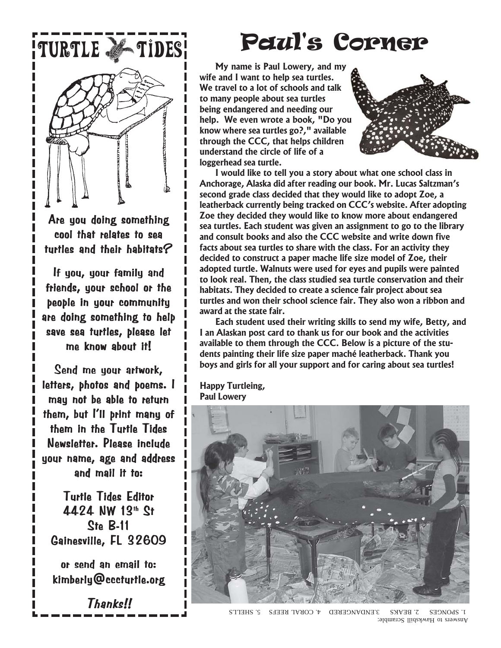

Are you doing something cool that relates to sea turtles and their habitats?

If you, your family and friends, your school or the people in your community are doing something to help save sea turtles, please let me know about it!

Send me your artwork, letters, photos and poems. I may not be able to return them, but I'll print many of them in the Turtle Tides Newsletter. Please include your name, age and address and mail it to:

**Turtle Tides Editor** 4424 NW 13th St  $Ste$  B-11 Gainesville, FL 32609

or send an email to: kimberly@cccturtle.org kimberly@cccturtle.org

Thanks!!

**My name is Paul Lowery, and my wife and I want to help sea turtles.**

**We travel to a lot of schools and talk to many people about sea turtles being endangered and needing our help. We even wrote a book, "Do you know where sea turtles go?," available through the CCC, that helps children understand the circle of life of a loggerhead sea turtle.**



**I would like to tell you a story about what one school class in Anchorage, Alaska did after reading our book. Mr. Lucas Saltzman's second grade class decided that they would like to adopt Zoe, a leatherback currently being tracked on CCC's website. After adopting Zoe they decided they would like to know more about endangered sea turtles. Each student was given an assignment to go to the library and consult books and also the CCC website and write down five facts about sea turtles to share with the class. For an activity they decided to construct a paper mache life size model of Zoe, their adopted turtle. Walnuts were used for eyes and pupils were painted to look real. Then, the class studied sea turtle conservation and their habitats. They decided to create a science fair project about sea turtles and won their school science fair. They also won a ribbon and award at the state fair.**

**Each student used their writing skills to send my wife, Betty, and I an Alaskan post card to thank us for our book and the activities available to them through the CCC. Below is a picture of the students painting their life size paper maché leatherback. Thank you boys and girls for all your support and for caring about sea turtles!**

**Happy Turtleing, Paul Lowery**



Answers to Hawksbill Scramble: 1. SPONGES 2. BEAKS 3.ENDANGERED 4. CORAL REEFS 5. SHELLS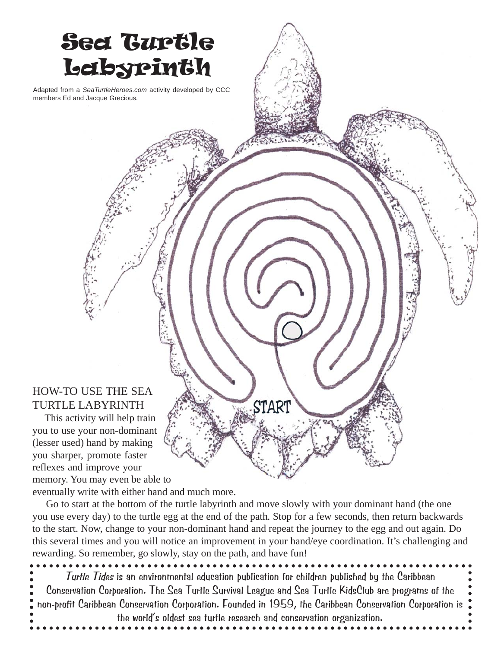

eventually write with either hand and much more.

 Go to start at the bottom of the turtle labyrinth and move slowly with your dominant hand (the one you use every day) to the turtle egg at the end of the path*.* Stop for a few seconds, then return backwards to the start. Now, change to your non-dominant hand and repeat the journey to the egg and out again. Do this several times and you will notice an improvement in your hand/eye coordination. It's challenging and rewarding. So remember, go slowly, stay on the path, and have fun!

Turtle Tides is an environmental education publication for children published by the Caribbean Conservation Corporation. The Sea Turtle Survival League and Sea Turtle KidsClub are programs of the non-profit Caribbean Conservation Corporation. Founded in 1959, the Caribbean Conservation Corporation is the world's oldest sea turtle research and conservation organization.